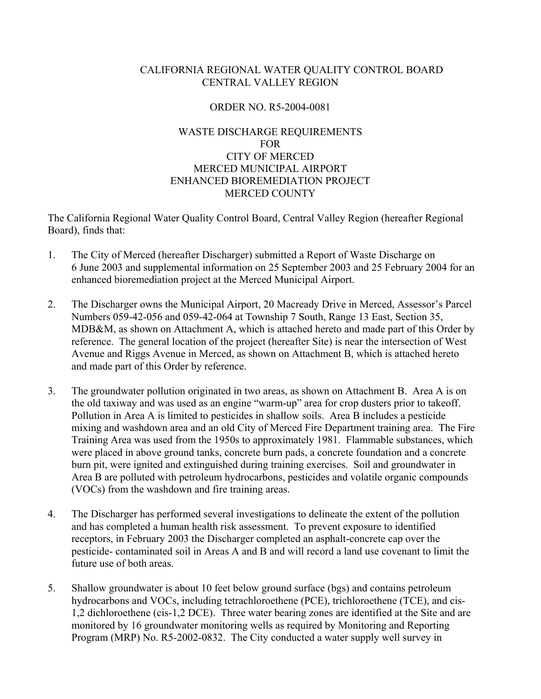# CALIFORNIA REGIONAL WATER QUALITY CONTROL BOARD CENTRAL VALLEY REGION

# ORDER NO. R5-2004-0081

# WASTE DISCHARGE REQUIREMENTS FOR CITY OF MERCED MERCED MUNICIPAL AIRPORT ENHANCED BIOREMEDIATION PROJECT MERCED COUNTY

The California Regional Water Quality Control Board, Central Valley Region (hereafter Regional Board), finds that:

- 1. The City of Merced (hereafter Discharger) submitted a Report of Waste Discharge on 6 June 2003 and supplemental information on 25 September 2003 and 25 February 2004 for an enhanced bioremediation project at the Merced Municipal Airport.
- 2. The Discharger owns the Municipal Airport, 20 Macready Drive in Merced, Assessor's Parcel Numbers 059-42-056 and 059-42-064 at Township 7 South, Range 13 East, Section 35, MDB&M, as shown on Attachment A, which is attached hereto and made part of this Order by reference. The general location of the project (hereafter Site) is near the intersection of West Avenue and Riggs Avenue in Merced, as shown on Attachment B, which is attached hereto and made part of this Order by reference.
- 3. The groundwater pollution originated in two areas, as shown on Attachment B. Area A is on the old taxiway and was used as an engine "warm-up" area for crop dusters prior to takeoff. Pollution in Area A is limited to pesticides in shallow soils. Area B includes a pesticide mixing and washdown area and an old City of Merced Fire Department training area. The Fire Training Area was used from the 1950s to approximately 1981. Flammable substances, which were placed in above ground tanks, concrete burn pads, a concrete foundation and a concrete burn pit, were ignited and extinguished during training exercises. Soil and groundwater in Area B are polluted with petroleum hydrocarbons, pesticides and volatile organic compounds (VOCs) from the washdown and fire training areas.
- 4. The Discharger has performed several investigations to delineate the extent of the pollution and has completed a human health risk assessment. To prevent exposure to identified receptors, in February 2003 the Discharger completed an asphalt-concrete cap over the pesticide- contaminated soil in Areas A and B and will record a land use covenant to limit the future use of both areas.
- 5. Shallow groundwater is about 10 feet below ground surface (bgs) and contains petroleum hydrocarbons and VOCs, including tetrachloroethene (PCE), trichloroethene (TCE), and cis-1,2 dichloroethene (cis-1,2 DCE). Three water bearing zones are identified at the Site and are monitored by 16 groundwater monitoring wells as required by Monitoring and Reporting Program (MRP) No. R5-2002-0832. The City conducted a water supply well survey in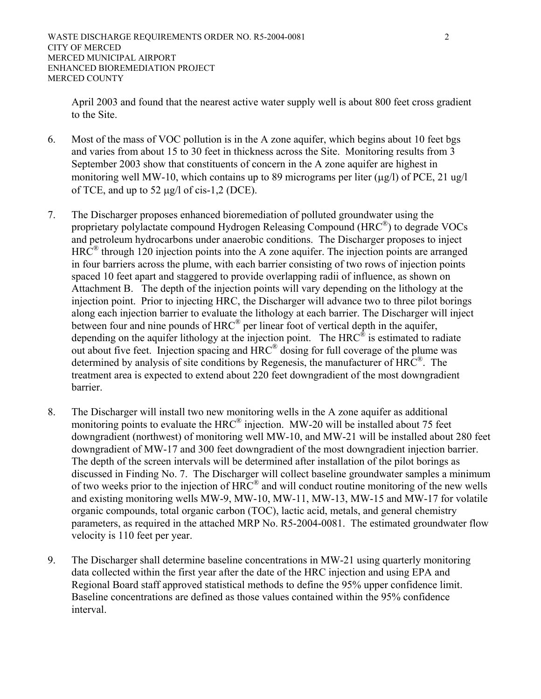April 2003 and found that the nearest active water supply well is about 800 feet cross gradient to the Site.

- 6. Most of the mass of VOC pollution is in the A zone aquifer, which begins about 10 feet bgs and varies from about 15 to 30 feet in thickness across the Site. Monitoring results from 3 September 2003 show that constituents of concern in the A zone aquifer are highest in monitoring well MW-10, which contains up to 89 micrograms per liter  $(\mu g/l)$  of PCE, 21 ug/l of TCE, and up to 52  $\mu$ g/l of cis-1,2 (DCE).
- 7. The Discharger proposes enhanced bioremediation of polluted groundwater using the proprietary polylactate compound Hydrogen Releasing Compound (HRC®) to degrade VOCs and petroleum hydrocarbons under anaerobic conditions. The Discharger proposes to inject  $HRC^®$  through 120 injection points into the A zone aquifer. The injection points are arranged in four barriers across the plume, with each barrier consisting of two rows of injection points spaced 10 feet apart and staggered to provide overlapping radii of influence, as shown on Attachment B. The depth of the injection points will vary depending on the lithology at the injection point. Prior to injecting HRC, the Discharger will advance two to three pilot borings along each injection barrier to evaluate the lithology at each barrier. The Discharger will inject between four and nine pounds of  $HRC^{\circledR}$  per linear foot of vertical depth in the aquifer, depending on the aquifer lithology at the injection point. The HRC® is estimated to radiate out about five feet. Injection spacing and HRC® dosing for full coverage of the plume was determined by analysis of site conditions by Regenesis, the manufacturer of HRC®. The treatment area is expected to extend about 220 feet downgradient of the most downgradient barrier.
- 8. The Discharger will install two new monitoring wells in the A zone aquifer as additional monitoring points to evaluate the  $HRC^{\circledR}$  injection. MW-20 will be installed about 75 feet downgradient (northwest) of monitoring well MW-10, and MW-21 will be installed about 280 feet downgradient of MW-17 and 300 feet downgradient of the most downgradient injection barrier. The depth of the screen intervals will be determined after installation of the pilot borings as discussed in Finding No. 7. The Discharger will collect baseline groundwater samples a minimum of two weeks prior to the injection of HRC® and will conduct routine monitoring of the new wells and existing monitoring wells MW-9, MW-10, MW-11, MW-13, MW-15 and MW-17 for volatile organic compounds, total organic carbon (TOC), lactic acid, metals, and general chemistry parameters, as required in the attached MRP No. R5-2004-0081. The estimated groundwater flow velocity is 110 feet per year.
- 9. The Discharger shall determine baseline concentrations in MW-21 using quarterly monitoring data collected within the first year after the date of the HRC injection and using EPA and Regional Board staff approved statistical methods to define the 95% upper confidence limit. Baseline concentrations are defined as those values contained within the 95% confidence interval.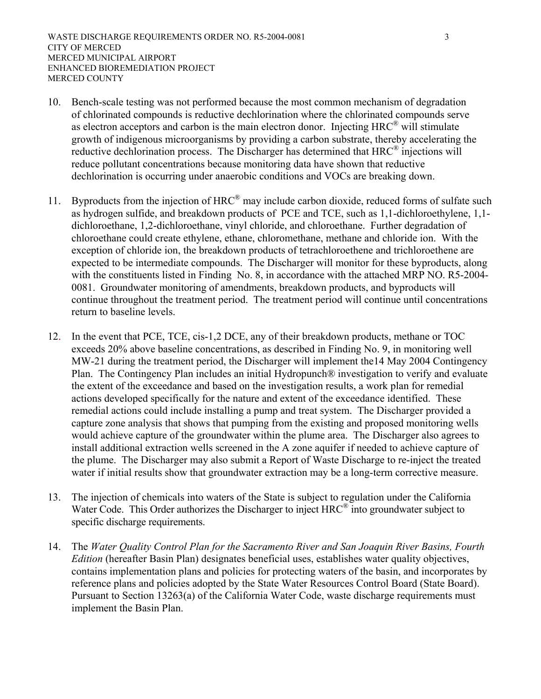- 10. Bench-scale testing was not performed because the most common mechanism of degradation of chlorinated compounds is reductive dechlorination where the chlorinated compounds serve as electron acceptors and carbon is the main electron donor. Injecting HRC® will stimulate growth of indigenous microorganisms by providing a carbon substrate, thereby accelerating the reductive dechlorination process. The Discharger has determined that HRC<sup>®</sup> injections will reduce pollutant concentrations because monitoring data have shown that reductive dechlorination is occurring under anaerobic conditions and VOCs are breaking down.
- 11. Byproducts from the injection of  $HRC^{\circledast}$  may include carbon dioxide, reduced forms of sulfate such as hydrogen sulfide, and breakdown products of PCE and TCE, such as 1,1-dichloroethylene, 1,1 dichloroethane, 1,2-dichloroethane, vinyl chloride, and chloroethane. Further degradation of chloroethane could create ethylene, ethane, chloromethane, methane and chloride ion. With the exception of chloride ion, the breakdown products of tetrachloroethene and trichloroethene are expected to be intermediate compounds. The Discharger will monitor for these byproducts, along with the constituents listed in Finding No. 8, in accordance with the attached MRP NO. R5-2004- 0081. Groundwater monitoring of amendments, breakdown products, and byproducts will continue throughout the treatment period. The treatment period will continue until concentrations return to baseline levels.
- 12. In the event that PCE, TCE, cis-1,2 DCE, any of their breakdown products, methane or TOC exceeds 20% above baseline concentrations, as described in Finding No. 9, in monitoring well MW-21 during the treatment period, the Discharger will implement the14 May 2004 Contingency Plan. The Contingency Plan includes an initial Hydropunch® investigation to verify and evaluate the extent of the exceedance and based on the investigation results, a work plan for remedial actions developed specifically for the nature and extent of the exceedance identified. These remedial actions could include installing a pump and treat system. The Discharger provided a capture zone analysis that shows that pumping from the existing and proposed monitoring wells would achieve capture of the groundwater within the plume area. The Discharger also agrees to install additional extraction wells screened in the A zone aquifer if needed to achieve capture of the plume. The Discharger may also submit a Report of Waste Discharge to re-inject the treated water if initial results show that groundwater extraction may be a long-term corrective measure.
- 13. The injection of chemicals into waters of the State is subject to regulation under the California Water Code. This Order authorizes the Discharger to inject  $HRC^{\circledast}$  into groundwater subject to specific discharge requirements.
- 14. The *Water Quality Control Plan for the Sacramento River and San Joaquin River Basins, Fourth Edition* (hereafter Basin Plan) designates beneficial uses, establishes water quality objectives, contains implementation plans and policies for protecting waters of the basin, and incorporates by reference plans and policies adopted by the State Water Resources Control Board (State Board). Pursuant to Section 13263(a) of the California Water Code, waste discharge requirements must implement the Basin Plan.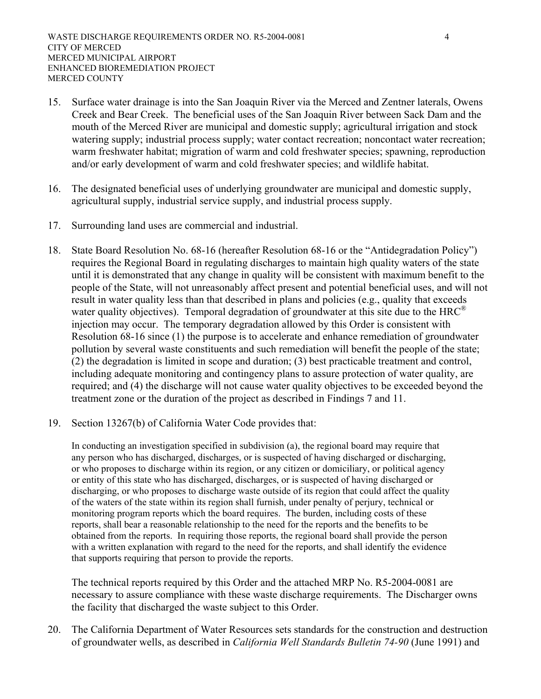- 15. Surface water drainage is into the San Joaquin River via the Merced and Zentner laterals, Owens Creek and Bear Creek. The beneficial uses of the San Joaquin River between Sack Dam and the mouth of the Merced River are municipal and domestic supply; agricultural irrigation and stock watering supply; industrial process supply; water contact recreation; noncontact water recreation; warm freshwater habitat; migration of warm and cold freshwater species; spawning, reproduction and/or early development of warm and cold freshwater species; and wildlife habitat.
- 16. The designated beneficial uses of underlying groundwater are municipal and domestic supply, agricultural supply, industrial service supply, and industrial process supply.
- 17. Surrounding land uses are commercial and industrial.
- 18. State Board Resolution No. 68-16 (hereafter Resolution 68-16 or the "Antidegradation Policy") requires the Regional Board in regulating discharges to maintain high quality waters of the state until it is demonstrated that any change in quality will be consistent with maximum benefit to the people of the State, will not unreasonably affect present and potential beneficial uses, and will not result in water quality less than that described in plans and policies (e.g., quality that exceeds water quality objectives). Temporal degradation of groundwater at this site due to the  $HRC^{\circledR}$ injection may occur. The temporary degradation allowed by this Order is consistent with Resolution 68-16 since (1) the purpose is to accelerate and enhance remediation of groundwater pollution by several waste constituents and such remediation will benefit the people of the state; (2) the degradation is limited in scope and duration; (3) best practicable treatment and control, including adequate monitoring and contingency plans to assure protection of water quality, are required; and (4) the discharge will not cause water quality objectives to be exceeded beyond the treatment zone or the duration of the project as described in Findings 7 and 11.
- 19. Section 13267(b) of California Water Code provides that:

 In conducting an investigation specified in subdivision (a), the regional board may require that any person who has discharged, discharges, or is suspected of having discharged or discharging, or who proposes to discharge within its region, or any citizen or domiciliary, or political agency or entity of this state who has discharged, discharges, or is suspected of having discharged or discharging, or who proposes to discharge waste outside of its region that could affect the quality of the waters of the state within its region shall furnish, under penalty of perjury, technical or monitoring program reports which the board requires. The burden, including costs of these reports, shall bear a reasonable relationship to the need for the reports and the benefits to be obtained from the reports. In requiring those reports, the regional board shall provide the person with a written explanation with regard to the need for the reports, and shall identify the evidence that supports requiring that person to provide the reports.

 The technical reports required by this Order and the attached MRP No. R5-2004-0081 are necessary to assure compliance with these waste discharge requirements. The Discharger owns the facility that discharged the waste subject to this Order.

20. The California Department of Water Resources sets standards for the construction and destruction of groundwater wells, as described in *California Well Standards Bulletin 74-90* (June 1991) and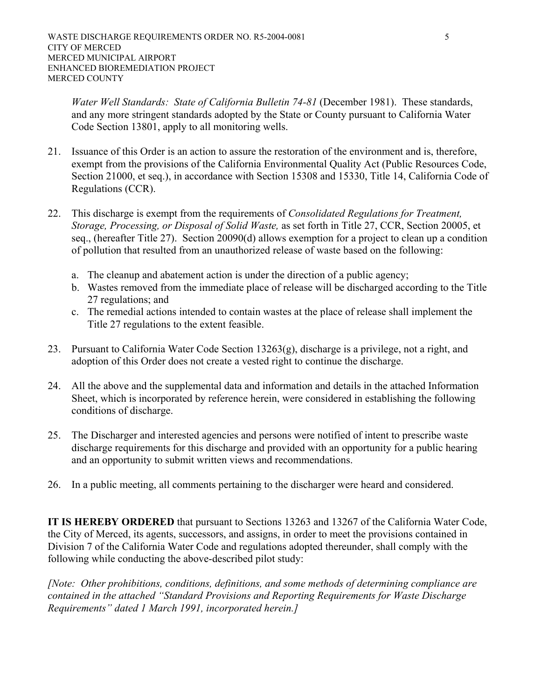*Water Well Standards: State of California Bulletin 74-81* (December 1981). These standards, and any more stringent standards adopted by the State or County pursuant to California Water Code Section 13801, apply to all monitoring wells.

- 21. Issuance of this Order is an action to assure the restoration of the environment and is, therefore, exempt from the provisions of the California Environmental Quality Act (Public Resources Code, Section 21000, et seq.), in accordance with Section 15308 and 15330, Title 14, California Code of Regulations (CCR).
- 22. This discharge is exempt from the requirements of *Consolidated Regulations for Treatment, Storage, Processing, or Disposal of Solid Waste,* as set forth in Title 27, CCR, Section 20005, et seq., (hereafter Title 27). Section 20090(d) allows exemption for a project to clean up a condition of pollution that resulted from an unauthorized release of waste based on the following:
	- a. The cleanup and abatement action is under the direction of a public agency;
	- b. Wastes removed from the immediate place of release will be discharged according to the Title 27 regulations; and
	- c. The remedial actions intended to contain wastes at the place of release shall implement the Title 27 regulations to the extent feasible.
- 23. Pursuant to California Water Code Section 13263(g), discharge is a privilege, not a right, and adoption of this Order does not create a vested right to continue the discharge.
- 24. All the above and the supplemental data and information and details in the attached Information Sheet, which is incorporated by reference herein, were considered in establishing the following conditions of discharge.
- 25. The Discharger and interested agencies and persons were notified of intent to prescribe waste discharge requirements for this discharge and provided with an opportunity for a public hearing and an opportunity to submit written views and recommendations.
- 26. In a public meeting, all comments pertaining to the discharger were heard and considered.

**IT IS HEREBY ORDERED** that pursuant to Sections 13263 and 13267 of the California Water Code, the City of Merced, its agents, successors, and assigns, in order to meet the provisions contained in Division 7 of the California Water Code and regulations adopted thereunder, shall comply with the following while conducting the above-described pilot study:

*[Note: Other prohibitions, conditions, definitions, and some methods of determining compliance are contained in the attached "Standard Provisions and Reporting Requirements for Waste Discharge Requirements" dated 1 March 1991, incorporated herein.]*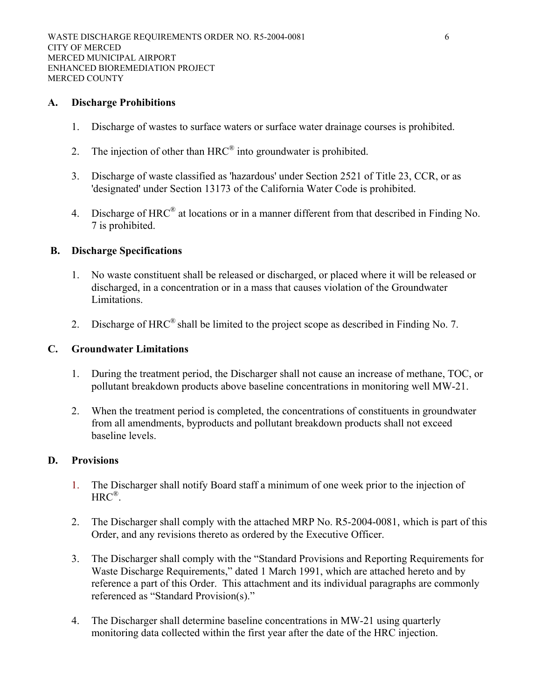#### **A. Discharge Prohibitions**

- 1. Discharge of wastes to surface waters or surface water drainage courses is prohibited.
- 2. The injection of other than  $HRC^{\circledR}$  into groundwater is prohibited.
- 3. Discharge of waste classified as 'hazardous' under Section 2521 of Title 23, CCR, or as 'designated' under Section 13173 of the California Water Code is prohibited.
- 4. Discharge of HRC<sup>®</sup> at locations or in a manner different from that described in Finding No. 7 is prohibited.

#### **B. Discharge Specifications**

- 1. No waste constituent shall be released or discharged, or placed where it will be released or discharged, in a concentration or in a mass that causes violation of the Groundwater Limitations.
- 2. Discharge of  $HRC^{\circledR}$  shall be limited to the project scope as described in Finding No. 7.

#### **C. Groundwater Limitations**

- 1. During the treatment period, the Discharger shall not cause an increase of methane, TOC, or pollutant breakdown products above baseline concentrations in monitoring well MW-21.
- 2. When the treatment period is completed, the concentrations of constituents in groundwater from all amendments, byproducts and pollutant breakdown products shall not exceed baseline levels.

### **D. Provisions**

- 1. The Discharger shall notify Board staff a minimum of one week prior to the injection of  $HRC^{\circledR}$ .
- 2. The Discharger shall comply with the attached MRP No. R5-2004-0081, which is part of this Order, and any revisions thereto as ordered by the Executive Officer.
- 3. The Discharger shall comply with the "Standard Provisions and Reporting Requirements for Waste Discharge Requirements," dated 1 March 1991, which are attached hereto and by reference a part of this Order. This attachment and its individual paragraphs are commonly referenced as "Standard Provision(s)."
- 4. The Discharger shall determine baseline concentrations in MW-21 using quarterly monitoring data collected within the first year after the date of the HRC injection.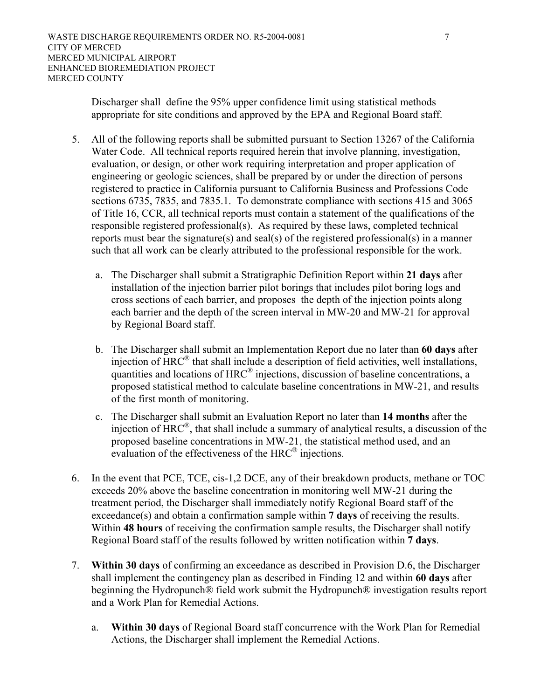Discharger shall define the 95% upper confidence limit using statistical methods appropriate for site conditions and approved by the EPA and Regional Board staff.

- 5. All of the following reports shall be submitted pursuant to Section 13267 of the California Water Code. All technical reports required herein that involve planning, investigation, evaluation, or design, or other work requiring interpretation and proper application of engineering or geologic sciences, shall be prepared by or under the direction of persons registered to practice in California pursuant to California Business and Professions Code sections 6735, 7835, and 7835.1. To demonstrate compliance with sections 415 and 3065 of Title 16, CCR, all technical reports must contain a statement of the qualifications of the responsible registered professional(s). As required by these laws, completed technical reports must bear the signature(s) and seal(s) of the registered professional(s) in a manner such that all work can be clearly attributed to the professional responsible for the work.
	- a. The Discharger shall submit a Stratigraphic Definition Report within **21 days** after installation of the injection barrier pilot borings that includes pilot boring logs and cross sections of each barrier, and proposes the depth of the injection points along each barrier and the depth of the screen interval in MW-20 and MW-21 for approval by Regional Board staff.
	- b. The Discharger shall submit an Implementation Report due no later than **60 days** after injection of HRC® that shall include a description of field activities, well installations, quantities and locations of  $HRC^{\circledR}$  injections, discussion of baseline concentrations, a proposed statistical method to calculate baseline concentrations in MW-21, and results of the first month of monitoring.
	- c. The Discharger shall submit an Evaluation Report no later than **14 months** after the injection of HRC®, that shall include a summary of analytical results, a discussion of the proposed baseline concentrations in MW-21, the statistical method used, and an evaluation of the effectiveness of the HRC® injections.
- 6. In the event that PCE, TCE, cis-1,2 DCE, any of their breakdown products, methane or TOC exceeds 20% above the baseline concentration in monitoring well MW-21 during the treatment period, the Discharger shall immediately notify Regional Board staff of the exceedance(s) and obtain a confirmation sample within **7 days** of receiving the results. Within **48 hours** of receiving the confirmation sample results, the Discharger shall notify Regional Board staff of the results followed by written notification within **7 days**.
- 7. **Within 30 days** of confirming an exceedance as described in Provision D.6, the Discharger shall implement the contingency plan as described in Finding 12 and within **60 days** after beginning the Hydropunch® field work submit the Hydropunch® investigation results report and a Work Plan for Remedial Actions.
	- a. **Within 30 days** of Regional Board staff concurrence with the Work Plan for Remedial Actions, the Discharger shall implement the Remedial Actions.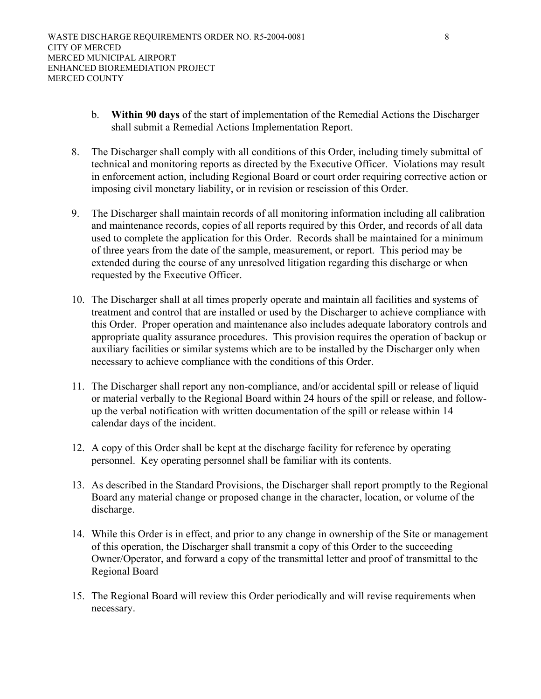- b. **Within 90 days** of the start of implementation of the Remedial Actions the Discharger shall submit a Remedial Actions Implementation Report.
- 8. The Discharger shall comply with all conditions of this Order, including timely submittal of technical and monitoring reports as directed by the Executive Officer. Violations may result in enforcement action, including Regional Board or court order requiring corrective action or imposing civil monetary liability, or in revision or rescission of this Order.
- 9. The Discharger shall maintain records of all monitoring information including all calibration and maintenance records, copies of all reports required by this Order, and records of all data used to complete the application for this Order. Records shall be maintained for a minimum of three years from the date of the sample, measurement, or report. This period may be extended during the course of any unresolved litigation regarding this discharge or when requested by the Executive Officer.
- 10. The Discharger shall at all times properly operate and maintain all facilities and systems of treatment and control that are installed or used by the Discharger to achieve compliance with this Order. Proper operation and maintenance also includes adequate laboratory controls and appropriate quality assurance procedures. This provision requires the operation of backup or auxiliary facilities or similar systems which are to be installed by the Discharger only when necessary to achieve compliance with the conditions of this Order.
- 11. The Discharger shall report any non-compliance, and/or accidental spill or release of liquid or material verbally to the Regional Board within 24 hours of the spill or release, and followup the verbal notification with written documentation of the spill or release within 14 calendar days of the incident.
- 12. A copy of this Order shall be kept at the discharge facility for reference by operating personnel. Key operating personnel shall be familiar with its contents.
- 13. As described in the Standard Provisions, the Discharger shall report promptly to the Regional Board any material change or proposed change in the character, location, or volume of the discharge.
- 14. While this Order is in effect, and prior to any change in ownership of the Site or management of this operation, the Discharger shall transmit a copy of this Order to the succeeding Owner/Operator, and forward a copy of the transmittal letter and proof of transmittal to the Regional Board
- 15. The Regional Board will review this Order periodically and will revise requirements when necessary.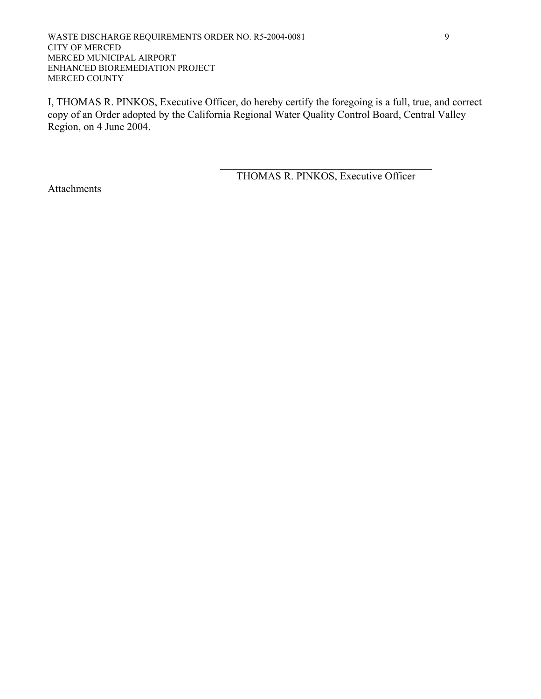WASTE DISCHARGE REQUIREMENTS ORDER NO. R5-2004-0081 9 CITY OF MERCED MERCED MUNICIPAL AIRPORT ENHANCED BIOREMEDIATION PROJECT MERCED COUNTY

I, THOMAS R. PINKOS, Executive Officer, do hereby certify the foregoing is a full, true, and correct copy of an Order adopted by the California Regional Water Quality Control Board, Central Valley Region, on 4 June 2004.

 $\mathcal{L}_\mathcal{L} = \{ \mathcal{L}_\mathcal{L} \mid \mathcal{L}_\mathcal{L} = \{ \mathcal{L}_\mathcal{L} \mid \mathcal{L}_\mathcal{L} = \{ \mathcal{L}_\mathcal{L} \mid \mathcal{L}_\mathcal{L} = \{ \mathcal{L}_\mathcal{L} \mid \mathcal{L}_\mathcal{L} = \{ \mathcal{L}_\mathcal{L} \mid \mathcal{L}_\mathcal{L} = \{ \mathcal{L}_\mathcal{L} \mid \mathcal{L}_\mathcal{L} = \{ \mathcal{L}_\mathcal{L} \mid \mathcal{L}_\mathcal{L} = \{ \math$ 

THOMAS R. PINKOS, Executive Officer

Attachments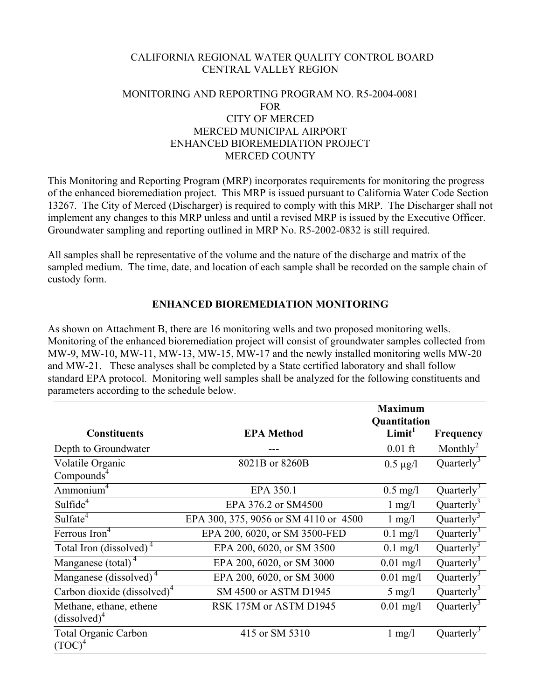### CALIFORNIA REGIONAL WATER QUALITY CONTROL BOARD CENTRAL VALLEY REGION

# MONITORING AND REPORTING PROGRAM NO. R5-2004-0081 FOR CITY OF MERCED MERCED MUNICIPAL AIRPORT ENHANCED BIOREMEDIATION PROJECT MERCED COUNTY

This Monitoring and Reporting Program (MRP) incorporates requirements for monitoring the progress of the enhanced bioremediation project. This MRP is issued pursuant to California Water Code Section 13267. The City of Merced (Discharger) is required to comply with this MRP. The Discharger shall not implement any changes to this MRP unless and until a revised MRP is issued by the Executive Officer. Groundwater sampling and reporting outlined in MRP No. R5-2002-0832 is still required.

All samples shall be representative of the volume and the nature of the discharge and matrix of the sampled medium. The time, date, and location of each sample shall be recorded on the sample chain of custody form.

# **ENHANCED BIOREMEDIATION MONITORING**

As shown on Attachment B, there are 16 monitoring wells and two proposed monitoring wells. Monitoring of the enhanced bioremediation project will consist of groundwater samples collected from MW-9, MW-10, MW-11, MW-13, MW-15, MW-17 and the newly installed monitoring wells MW-20 and MW-21. These analyses shall be completed by a State certified laboratory and shall follow standard EPA protocol. Monitoring well samples shall be analyzed for the following constituents and parameters according to the schedule below.

|                                     |                                       | <b>Maximum</b><br>Quantitation |                        |
|-------------------------------------|---------------------------------------|--------------------------------|------------------------|
| <b>Constituents</b>                 | <b>EPA Method</b>                     | Limit <sup>1</sup>             | <b>Frequency</b>       |
| Depth to Groundwater                |                                       | $0.01$ ft                      | Monthly <sup>2</sup>   |
| Volatile Organic                    | 8021B or 8260B                        | $0.5 \mu g/l$                  | Quarterly <sup>3</sup> |
| Compounds <sup>4</sup>              |                                       |                                |                        |
| Ammonium <sup>4</sup>               | EPA 350.1                             | $0.5 \text{ mg}/1$             | Quarterly <sup>3</sup> |
| Sulfide <sup>4</sup>                | EPA 376.2 or SM4500                   | $1 \text{ mg}/1$               | Quarterly <sup>3</sup> |
| Sulfate <sup>4</sup>                | EPA 300, 375, 9056 or SM 4110 or 4500 | $1 \text{ mg}/1$               | Quarterly <sup>3</sup> |
| Ferrous Iron <sup>4</sup>           | EPA 200, 6020, or SM 3500-FED         | $0.1$ mg/l                     | Quarterly <sup>3</sup> |
| Total Iron (dissolved) <sup>4</sup> | EPA 200, 6020, or SM 3500             | $0.1$ mg/l                     | Quarterly <sup>3</sup> |
| Manganese (total) $4$               | EPA 200, 6020, or SM 3000             | $0.01$ mg/l                    | Quarterly <sup>3</sup> |
| Manganese (dissolved) <sup>4</sup>  | EPA 200, 6020, or SM 3000             | $0.01$ mg/l                    | Quarterly <sup>3</sup> |
| Carbon dioxide $(dissolved)^4$      | SM 4500 or ASTM D1945                 | $5 \text{ mg}/l$               | Quarterly <sup>3</sup> |
| Methane, ethane, ethene             | RSK 175M or ASTM D1945                | $0.01$ mg/l                    | Quarterly <sup>3</sup> |
| $(dissolved)^4$                     |                                       |                                |                        |
| <b>Total Organic Carbon</b>         | 415 or SM 5310                        | $1 \text{ mg}/1$               | Quarterly <sup>3</sup> |
| $(TOC)^4$                           |                                       |                                |                        |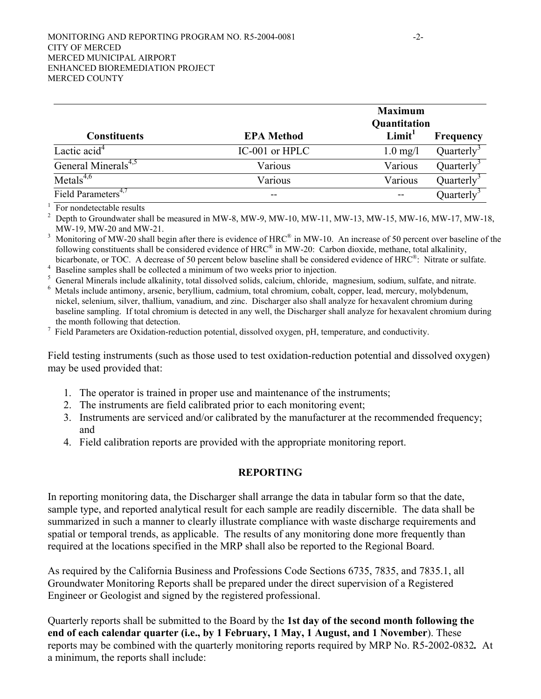|                                 |                   | <b>Maximum</b><br>Quantitation |                        |
|---------------------------------|-------------------|--------------------------------|------------------------|
| <b>Constituents</b>             | <b>EPA Method</b> | Limit <sup>1</sup>             | Frequency              |
| Lactic acid <sup>4</sup>        | IC-001 or HPLC    | $1.0$ mg/l                     | Quarterly <sup>3</sup> |
| General Minerals <sup>4,5</sup> | Various           | Various                        | Quarterly              |
| Metals <sup>4,6</sup>           | Various           | Various                        | Quarterly              |
| Field Parameters <sup>4,7</sup> | --                | $- -$                          | Quarterly              |

 $\frac{1}{2}$  For nondetectable results

<sup>2</sup> Depth to Groundwater shall be measured in MW-8, MW-9, MW-10, MW-11, MW-13, MW-15, MW-16, MW-17, MW-18, MW-19, MW-20 and MW-21. 3

Monitoring of MW-20 shall begin after there is evidence of HRC<sup>®</sup> in MW-10. An increase of 50 percent over baseline of the following constituents shall be considered evidence of HRC® in MW-20: Carbon dioxide, methane, total alkalinity,

bicarbonate, or TOC. A decrease of 50 percent below baseline shall be considered evidence of HRC<sup>®</sup>: Nitrate or sulfate.<br>Baseline samples shall be collected a minimum of two weeks prior to injection.

General Minerals include alkalinity, total dissolved solids, calcium, chloride, magnesium, sodium, sulfate, and nitrate.

 Metals include antimony, arsenic, beryllium, cadmium, total chromium, cobalt, copper, lead, mercury, molybdenum, nickel, selenium, silver, thallium, vanadium, and zinc. Discharger also shall analyze for hexavalent chromium during baseline sampling. If total chromium is detected in any well, the Discharger shall analyze for hexavalent chromium during the month following that detection.

 $\frac{7}{1}$  Field Parameters are Oxidation-reduction potential, dissolved oxygen, pH, temperature, and conductivity.

Field testing instruments (such as those used to test oxidation-reduction potential and dissolved oxygen) may be used provided that:

- 1. The operator is trained in proper use and maintenance of the instruments;
- 2. The instruments are field calibrated prior to each monitoring event;
- 3. Instruments are serviced and/or calibrated by the manufacturer at the recommended frequency; and
- 4. Field calibration reports are provided with the appropriate monitoring report.

# **REPORTING**

In reporting monitoring data, the Discharger shall arrange the data in tabular form so that the date, sample type, and reported analytical result for each sample are readily discernible. The data shall be summarized in such a manner to clearly illustrate compliance with waste discharge requirements and spatial or temporal trends, as applicable. The results of any monitoring done more frequently than required at the locations specified in the MRP shall also be reported to the Regional Board.

As required by the California Business and Professions Code Sections 6735, 7835, and 7835.1, all Groundwater Monitoring Reports shall be prepared under the direct supervision of a Registered Engineer or Geologist and signed by the registered professional.

Quarterly reports shall be submitted to the Board by the **1st day of the second month following the end of each calendar quarter (i.e., by 1 February, 1 May, 1 August, and 1 November**). These reports may be combined with the quarterly monitoring reports required by MRP No. R5-2002-0832*.* At a minimum, the reports shall include: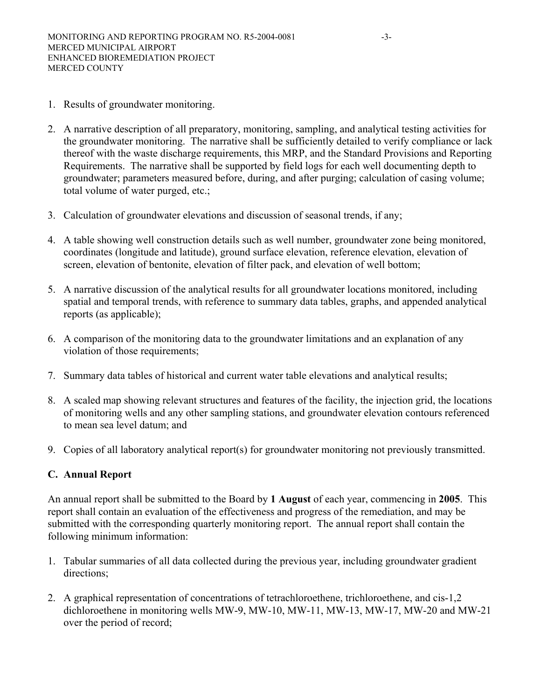- 1. Results of groundwater monitoring.
- 2. A narrative description of all preparatory, monitoring, sampling, and analytical testing activities for the groundwater monitoring. The narrative shall be sufficiently detailed to verify compliance or lack thereof with the waste discharge requirements, this MRP, and the Standard Provisions and Reporting Requirements. The narrative shall be supported by field logs for each well documenting depth to groundwater; parameters measured before, during, and after purging; calculation of casing volume; total volume of water purged, etc.;
- 3. Calculation of groundwater elevations and discussion of seasonal trends, if any;
- 4. A table showing well construction details such as well number, groundwater zone being monitored, coordinates (longitude and latitude), ground surface elevation, reference elevation, elevation of screen, elevation of bentonite, elevation of filter pack, and elevation of well bottom;
- 5. A narrative discussion of the analytical results for all groundwater locations monitored, including spatial and temporal trends, with reference to summary data tables, graphs, and appended analytical reports (as applicable);
- 6. A comparison of the monitoring data to the groundwater limitations and an explanation of any violation of those requirements;
- 7. Summary data tables of historical and current water table elevations and analytical results;
- 8. A scaled map showing relevant structures and features of the facility, the injection grid, the locations of monitoring wells and any other sampling stations, and groundwater elevation contours referenced to mean sea level datum; and
- 9. Copies of all laboratory analytical report(s) for groundwater monitoring not previously transmitted.

### **C. Annual Report**

An annual report shall be submitted to the Board by **1 August** of each year, commencing in **2005**. This report shall contain an evaluation of the effectiveness and progress of the remediation, and may be submitted with the corresponding quarterly monitoring report. The annual report shall contain the following minimum information:

- 1. Tabular summaries of all data collected during the previous year, including groundwater gradient directions;
- 2. A graphical representation of concentrations of tetrachloroethene, trichloroethene, and cis-1,2 dichloroethene in monitoring wells MW-9, MW-10, MW-11, MW-13, MW-17, MW-20 and MW-21 over the period of record;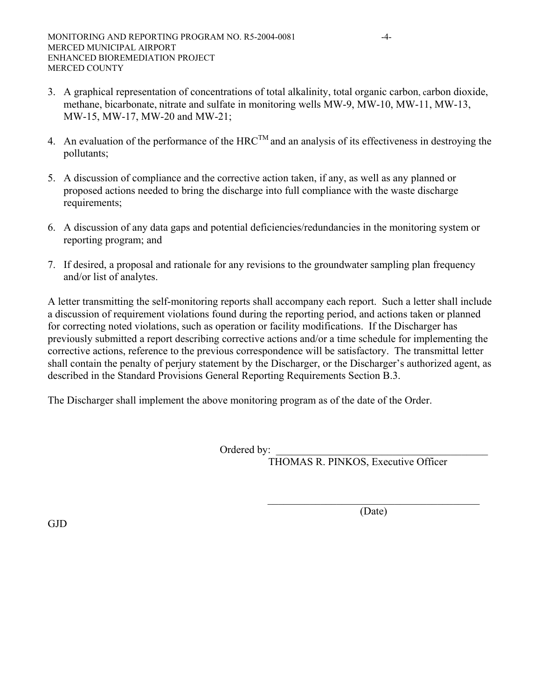- 3. A graphical representation of concentrations of total alkalinity, total organic carbon, carbon dioxide, methane, bicarbonate, nitrate and sulfate in monitoring wells MW-9, MW-10, MW-11, MW-13, MW-15, MW-17, MW-20 and MW-21;
- 4. An evaluation of the performance of the HRC<sup>TM</sup> and an analysis of its effectiveness in destroying the pollutants;
- 5. A discussion of compliance and the corrective action taken, if any, as well as any planned or proposed actions needed to bring the discharge into full compliance with the waste discharge requirements;
- 6. A discussion of any data gaps and potential deficiencies/redundancies in the monitoring system or reporting program; and
- 7. If desired, a proposal and rationale for any revisions to the groundwater sampling plan frequency and/or list of analytes.

A letter transmitting the self-monitoring reports shall accompany each report. Such a letter shall include a discussion of requirement violations found during the reporting period, and actions taken or planned for correcting noted violations, such as operation or facility modifications. If the Discharger has previously submitted a report describing corrective actions and/or a time schedule for implementing the corrective actions, reference to the previous correspondence will be satisfactory. The transmittal letter shall contain the penalty of perjury statement by the Discharger, or the Discharger's authorized agent, as described in the Standard Provisions General Reporting Requirements Section B.3.

The Discharger shall implement the above monitoring program as of the date of the Order.

Ordered by:

 $\mathcal{L}_\mathcal{L} = \{ \mathcal{L}_\mathcal{L} = \{ \mathcal{L}_\mathcal{L} = \{ \mathcal{L}_\mathcal{L} = \{ \mathcal{L}_\mathcal{L} = \{ \mathcal{L}_\mathcal{L} = \{ \mathcal{L}_\mathcal{L} = \{ \mathcal{L}_\mathcal{L} = \{ \mathcal{L}_\mathcal{L} = \{ \mathcal{L}_\mathcal{L} = \{ \mathcal{L}_\mathcal{L} = \{ \mathcal{L}_\mathcal{L} = \{ \mathcal{L}_\mathcal{L} = \{ \mathcal{L}_\mathcal{L} = \{ \mathcal{L}_\mathcal{$ 

THOMAS R. PINKOS, Executive Officer

(Date)

GJD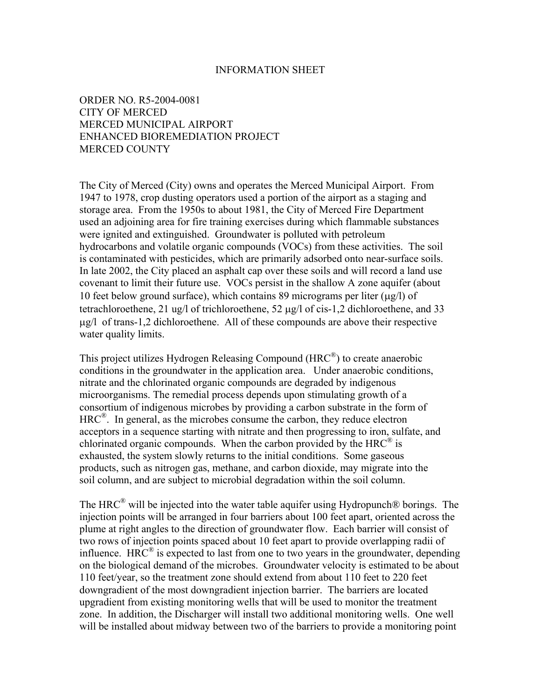#### INFORMATION SHEET

ORDER NO. R5-2004-0081 CITY OF MERCED MERCED MUNICIPAL AIRPORT ENHANCED BIOREMEDIATION PROJECT MERCED COUNTY

The City of Merced (City) owns and operates the Merced Municipal Airport. From 1947 to 1978, crop dusting operators used a portion of the airport as a staging and storage area. From the 1950s to about 1981, the City of Merced Fire Department used an adjoining area for fire training exercises during which flammable substances were ignited and extinguished. Groundwater is polluted with petroleum hydrocarbons and volatile organic compounds (VOCs) from these activities. The soil is contaminated with pesticides, which are primarily adsorbed onto near-surface soils. In late 2002, the City placed an asphalt cap over these soils and will record a land use covenant to limit their future use. VOCs persist in the shallow A zone aquifer (about 10 feet below ground surface), which contains 89 micrograms per liter  $(\mu g/l)$  of tetrachloroethene, 21 ug/l of trichloroethene, 52 ug/l of cis-1,2 dichloroethene, and 33  $\mu$ g/l of trans-1,2 dichloroethene. All of these compounds are above their respective water quality limits.

This project utilizes Hydrogen Releasing Compound (HRC®) to create anaerobic conditions in the groundwater in the application area. Under anaerobic conditions, nitrate and the chlorinated organic compounds are degraded by indigenous microorganisms. The remedial process depends upon stimulating growth of a consortium of indigenous microbes by providing a carbon substrate in the form of HRC<sup>®</sup>. In general, as the microbes consume the carbon, they reduce electron acceptors in a sequence starting with nitrate and then progressing to iron, sulfate, and chlorinated organic compounds. When the carbon provided by the  $HRC^{\mathcal{B}}$  is exhausted, the system slowly returns to the initial conditions. Some gaseous products, such as nitrogen gas, methane, and carbon dioxide, may migrate into the soil column, and are subject to microbial degradation within the soil column.

The HRC<sup>®</sup> will be injected into the water table aquifer using Hydropunch<sup>®</sup> borings. The injection points will be arranged in four barriers about 100 feet apart, oriented across the plume at right angles to the direction of groundwater flow. Each barrier will consist of two rows of injection points spaced about 10 feet apart to provide overlapping radii of influence. HRC<sup>®</sup> is expected to last from one to two years in the groundwater, depending on the biological demand of the microbes. Groundwater velocity is estimated to be about 110 feet/year, so the treatment zone should extend from about 110 feet to 220 feet downgradient of the most downgradient injection barrier. The barriers are located upgradient from existing monitoring wells that will be used to monitor the treatment zone. In addition, the Discharger will install two additional monitoring wells. One well will be installed about midway between two of the barriers to provide a monitoring point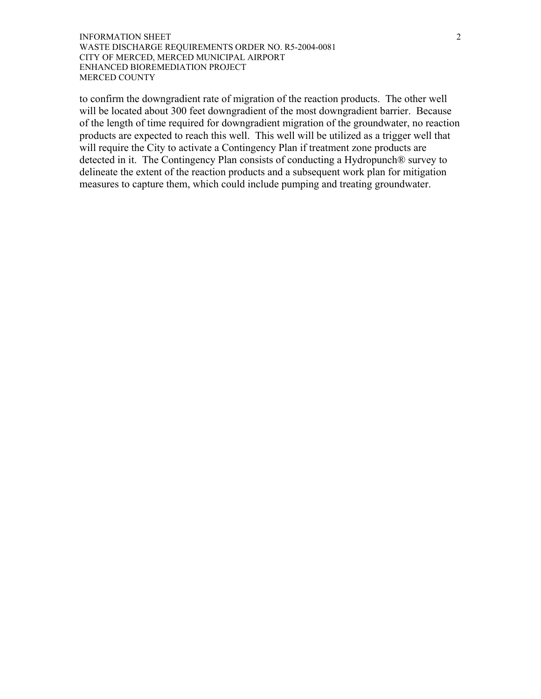#### **INFORMATION SHEET** 2 WASTE DISCHARGE REQUIREMENTS ORDER NO. R5-2004-0081 CITY OF MERCED, MERCED MUNICIPAL AIRPORT ENHANCED BIOREMEDIATION PROJECT MERCED COUNTY

to confirm the downgradient rate of migration of the reaction products. The other well will be located about 300 feet downgradient of the most downgradient barrier. Because of the length of time required for downgradient migration of the groundwater, no reaction products are expected to reach this well. This well will be utilized as a trigger well that will require the City to activate a Contingency Plan if treatment zone products are detected in it. The Contingency Plan consists of conducting a Hydropunch® survey to delineate the extent of the reaction products and a subsequent work plan for mitigation measures to capture them, which could include pumping and treating groundwater.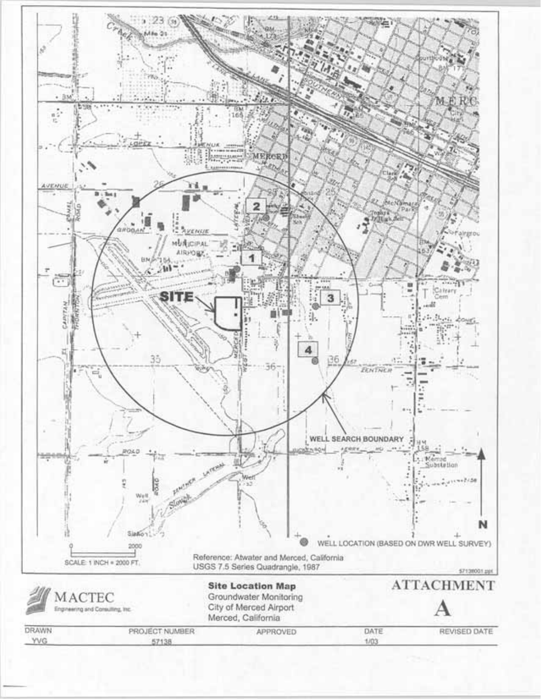